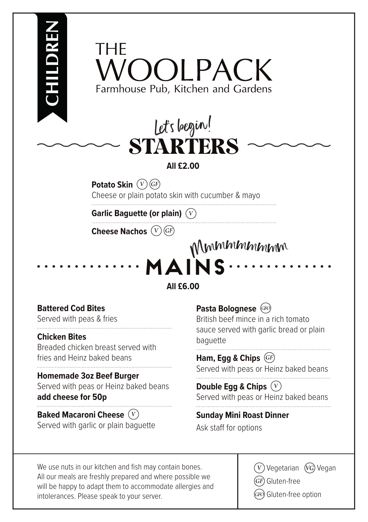



# **All £2.00**

**Potato Skin**  $(\nabla)$  (GF)

Cheese or plain potato skin with cucumber & mayo

**Garlic Baguette (or plain)** 

**Cheese Nachos** 

Mmmmmmmm<sup>m</sup>

**All £6.00**

**MAINS**

# **Battered Cod Bites**

Served with peas & fries

### **Chicken Bites**

**CHILDREN**

Breaded chicken breast served with fries and Heinz baked beans

### **Homemade 3oz Beef Burger**

Served with peas or Heinz baked beans **add cheese for 50p**

## **Baked Macaroni Cheese**  Served with garlic or plain baguette

**Pasta Bolognese**  British beef mince in a rich tomato sauce served with garlic bread or plain baguette

**Ham, Egg & Chips**  Served with peas or Heinz baked beans

**Double Egg & Chips**  Served with peas or Heinz baked beans

**Sunday Mini Roast Dinner**  Ask staff for options

We use nuts in our kitchen and fish may contain bones. All our meals are freshly prepared and where possible we will be happy to adapt them to accommodate allergies and intolerances. Please speak to your server.

 $\widehat{(V)}$  Vegetarian  $\widehat{(VG)}$  Vegan Gluten-free

 $\left(\!\frac{\partial F}{\partial t}\!\right)$  Gluten-free option